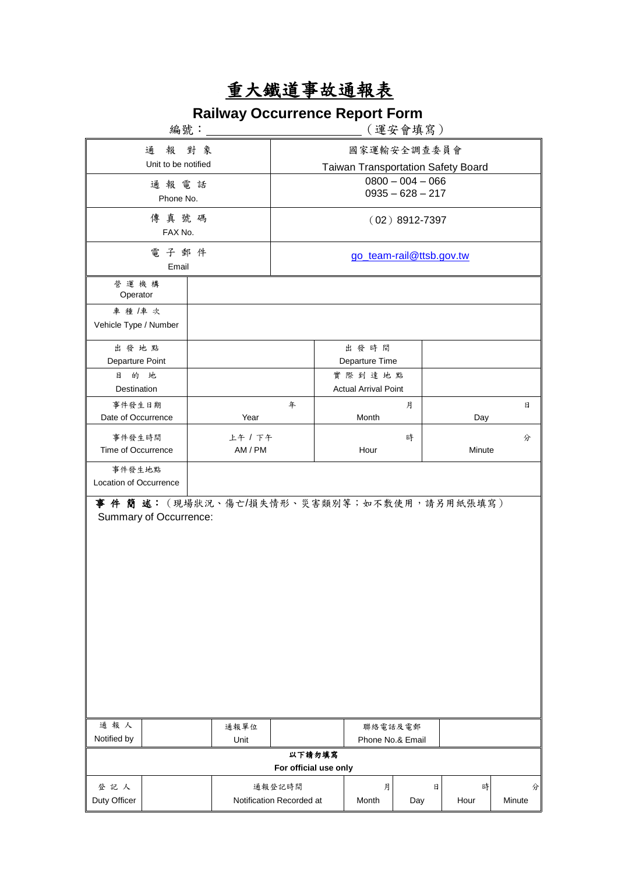## 重大鐵道事故通報表

## **Railway Occurrence Report Form**

|                                |                        | 〔運安會填寫〕                                    |                          |                                    |                                       |     |        |        |  |
|--------------------------------|------------------------|--------------------------------------------|--------------------------|------------------------------------|---------------------------------------|-----|--------|--------|--|
| 報對象<br>通                       |                        |                                            |                          | 國家運輸安全調查委員會                        |                                       |     |        |        |  |
| Unit to be notified            |                        |                                            |                          | Taiwan Transportation Safety Board |                                       |     |        |        |  |
| 通報電話                           |                        |                                            |                          | $0800 - 004 - 066$                 |                                       |     |        |        |  |
| Phone No.                      |                        |                                            | $0935 - 628 - 217$       |                                    |                                       |     |        |        |  |
| 傳真號碼<br>FAX No.                |                        |                                            | $(02)$ 8912-7397         |                                    |                                       |     |        |        |  |
|                                | 電子郵件<br>Email          |                                            | go_team-rail@ttsb.gov.tw |                                    |                                       |     |        |        |  |
| 營運機構<br>Operator               |                        |                                            |                          |                                    |                                       |     |        |        |  |
| 車種/車次<br>Vehicle Type / Number |                        |                                            |                          |                                    |                                       |     |        |        |  |
| 出發地點                           |                        |                                            |                          |                                    | 出發時間                                  |     |        |        |  |
| Departure Point                |                        |                                            |                          |                                    | Departure Time                        |     |        |        |  |
| 目<br>的 地<br>Destination        |                        |                                            |                          |                                    | 實際到達地點<br><b>Actual Arrival Point</b> |     |        |        |  |
| 事件發生日期                         |                        |                                            | 年                        |                                    |                                       | 月   |        | 日      |  |
| Date of Occurrence             |                        | Year                                       |                          |                                    | Month                                 |     | Day    |        |  |
| 事件發生時間<br>Time of Occurrence   |                        |                                            | 上午 / 下午<br>AM / PM       |                                    | Hour                                  | 時   | Minute | 分      |  |
| 事件發生地點                         |                        |                                            |                          |                                    |                                       |     |        |        |  |
| Location of Occurrence         |                        |                                            |                          |                                    |                                       |     |        |        |  |
|                                | Summary of Occurrence: | 事 件 簡 述:(現場狀況、傷亡/損失情形、災害類別等;如不敷使用,請另用紙張填寫) |                          |                                    |                                       |     |        |        |  |
| 通報人<br>Notified by             |                        | 通報單位<br>Unit                               |                          |                                    | 聯絡電話及電郵<br>Phone No.& Email           |     |        |        |  |
| 以下請勿填寫                         |                        |                                            |                          |                                    |                                       |     |        |        |  |
| For official use only          |                        |                                            |                          |                                    |                                       |     |        |        |  |
| 登記人                            |                        |                                            | 通報登記時間                   |                                    | 月                                     | 日   | 時      | 分      |  |
| Duty Officer                   |                        | Notification Recorded at                   |                          |                                    | Month                                 | Day | Hour   | Minute |  |